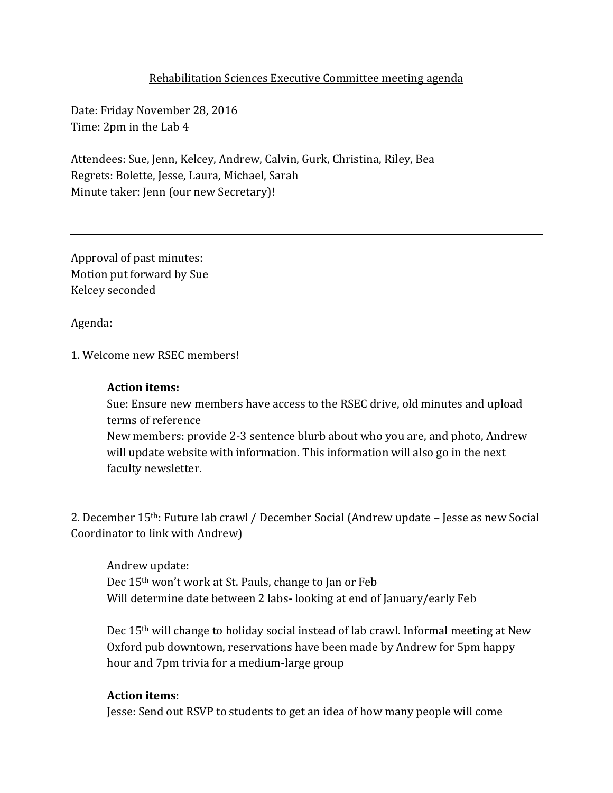### Rehabilitation Sciences Executive Committee meeting agenda

Date: Friday November 28, 2016 Time: 2pm in the Lab 4

Attendees: Sue, Jenn, Kelcey, Andrew, Calvin, Gurk, Christina, Riley, Bea Regrets: Bolette, Jesse, Laura, Michael, Sarah Minute taker: Jenn (our new Secretary)!

Approval of past minutes: Motion put forward by Sue Kelcey seconded

Agenda:

1. Welcome new RSEC members!

### **Action items:**

Sue: Ensure new members have access to the RSEC drive, old minutes and upload terms of reference New members: provide 2-3 sentence blurb about who you are, and photo, Andrew will update website with information. This information will also go in the next faculty newsletter.

2. December 15th: Future lab crawl / December Social (Andrew update – Jesse as new Social Coordinator to link with Andrew)

Andrew update: Dec 15th won't work at St. Pauls, change to Jan or Feb Will determine date between 2 labs- looking at end of January/early Feb

Dec 15th will change to holiday social instead of lab crawl. Informal meeting at New Oxford pub downtown, reservations have been made by Andrew for 5pm happy hour and 7pm trivia for a medium-large group

### **Action items**:

Jesse: Send out RSVP to students to get an idea of how many people will come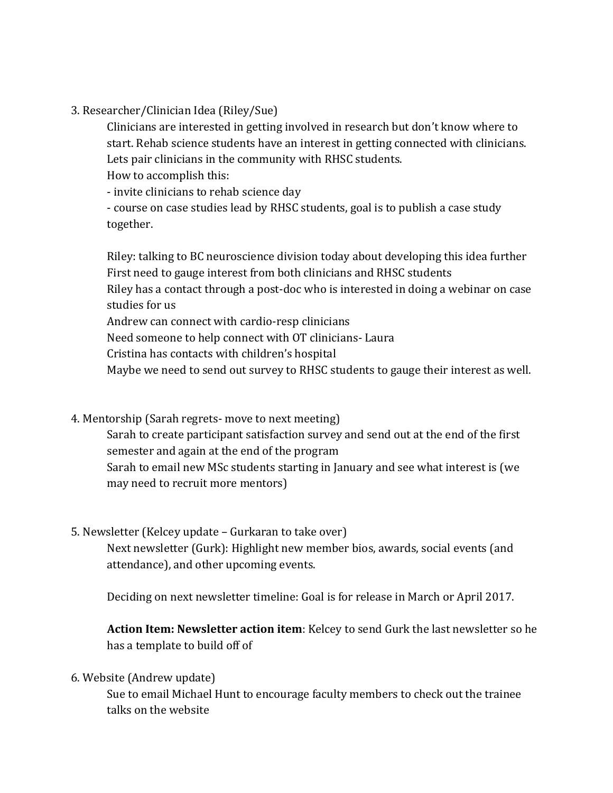3. Researcher/Clinician Idea (Riley/Sue)

Clinicians are interested in getting involved in research but don't know where to start. Rehab science students have an interest in getting connected with clinicians. Lets pair clinicians in the community with RHSC students.

How to accomplish this:

- invite clinicians to rehab science day

- course on case studies lead by RHSC students, goal is to publish a case study together.

Riley: talking to BC neuroscience division today about developing this idea further First need to gauge interest from both clinicians and RHSC students Riley has a contact through a post-doc who is interested in doing a webinar on case studies for us Andrew can connect with cardio-resp clinicians Need someone to help connect with OT clinicians- Laura Cristina has contacts with children's hospital

Maybe we need to send out survey to RHSC students to gauge their interest as well.

4. Mentorship (Sarah regrets- move to next meeting)

Sarah to create participant satisfaction survey and send out at the end of the first semester and again at the end of the program Sarah to email new MSc students starting in January and see what interest is (we may need to recruit more mentors)

5. Newsletter (Kelcey update – Gurkaran to take over)

Next newsletter (Gurk): Highlight new member bios, awards, social events (and attendance), and other upcoming events.

Deciding on next newsletter timeline: Goal is for release in March or April 2017.

**Action Item: Newsletter action item**: Kelcey to send Gurk the last newsletter so he has a template to build off of

6. Website (Andrew update)

Sue to email Michael Hunt to encourage faculty members to check out the trainee talks on the website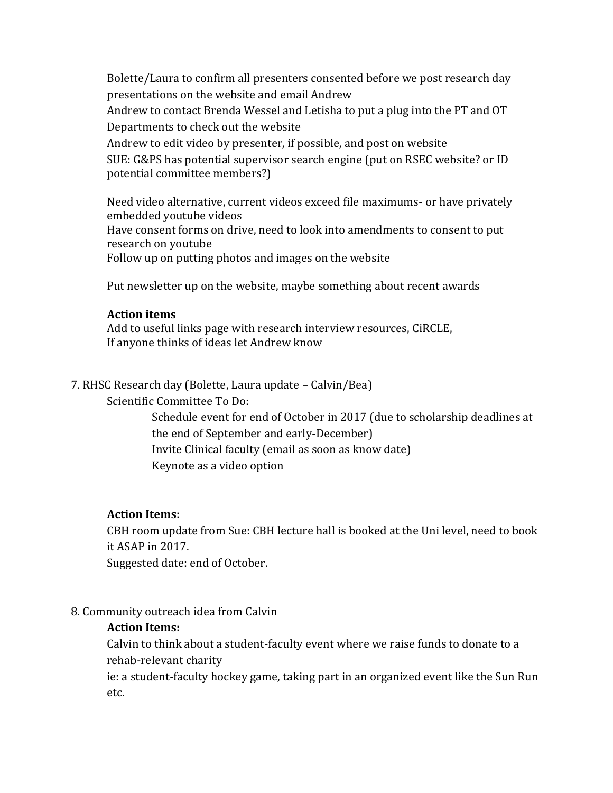Bolette/Laura to confirm all presenters consented before we post research day presentations on the website and email Andrew

Andrew to contact Brenda Wessel and Letisha to put a plug into the PT and OT Departments to check out the website

Andrew to edit video by presenter, if possible, and post on website

SUE: G&PS has potential supervisor search engine (put on RSEC website? or ID potential committee members?)

Need video alternative, current videos exceed file maximums- or have privately embedded youtube videos Have consent forms on drive, need to look into amendments to consent to put research on youtube Follow up on putting photos and images on the website

Put newsletter up on the website, maybe something about recent awards

## **Action items**

Add to useful links page with research interview resources, CiRCLE, If anyone thinks of ideas let Andrew know

# 7. RHSC Research day (Bolette, Laura update – Calvin/Bea)

Scientific Committee To Do:

Schedule event for end of October in 2017 (due to scholarship deadlines at the end of September and early-December) Invite Clinical faculty (email as soon as know date) Keynote as a video option

### **Action Items:**

CBH room update from Sue: CBH lecture hall is booked at the Uni level, need to book it ASAP in 2017.

Suggested date: end of October.

# 8. Community outreach idea from Calvin

### **Action Items:**

Calvin to think about a student-faculty event where we raise funds to donate to a rehab-relevant charity

ie: a student-faculty hockey game, taking part in an organized event like the Sun Run etc.